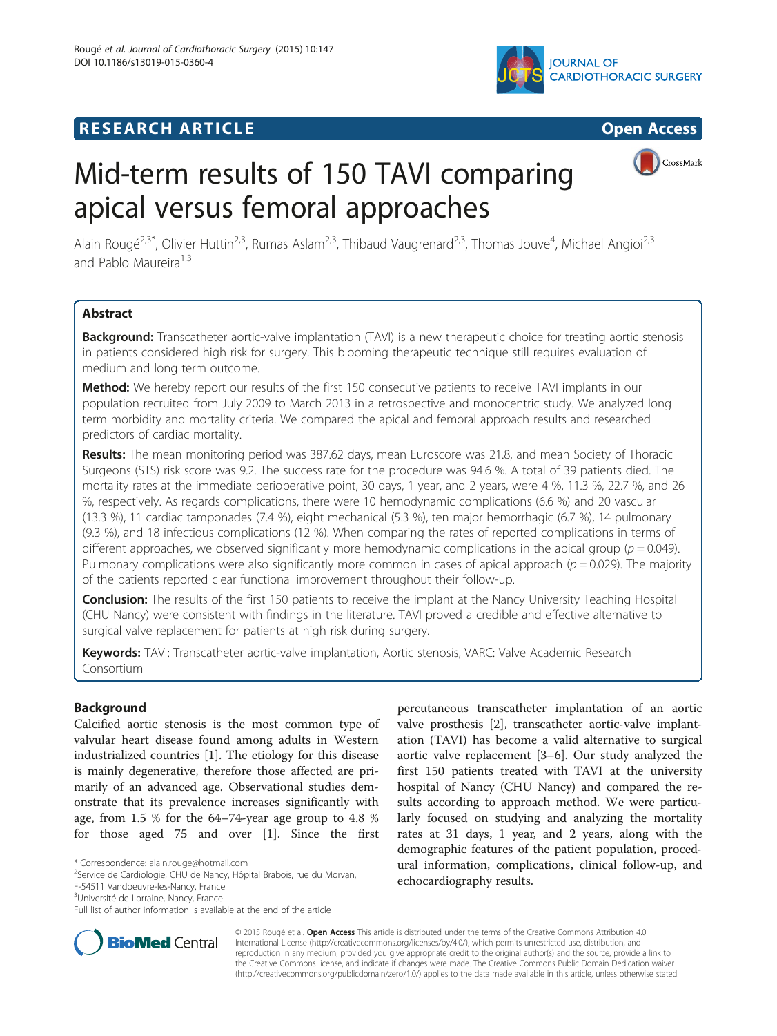

## **RESEARCH ARTICLE Example 2008 CONSIDERING CONSIDERING CONSIDERING CONSIDERING CONSIDERING CONSIDERING CONSIDERING CONSIDERING CONSIDERING CONSIDERING CONSIDERING CONSIDERING CONSIDERING CONSIDERING CONSIDERING CONSIDE**



# Mid-term results of 150 TAVI comparing apical versus femoral approaches



Alain Rougé<sup>2,3\*</sup>, Olivier Huttin<sup>2,3</sup>, Rumas Aslam<sup>2,3</sup>, Thibaud Vaugrenard<sup>2,3</sup>, Thomas Jouve<sup>4</sup>, Michael Angioi<sup>2,3</sup> and Pablo Maureira<sup>1,3</sup>

## **Abstract**

Background: Transcatheter aortic-valve implantation (TAVI) is a new therapeutic choice for treating aortic stenosis in patients considered high risk for surgery. This blooming therapeutic technique still requires evaluation of medium and long term outcome.

Method: We hereby report our results of the first 150 consecutive patients to receive TAVI implants in our population recruited from July 2009 to March 2013 in a retrospective and monocentric study. We analyzed long term morbidity and mortality criteria. We compared the apical and femoral approach results and researched predictors of cardiac mortality.

Results: The mean monitoring period was 387.62 days, mean Euroscore was 21.8, and mean Society of Thoracic Surgeons (STS) risk score was 9.2. The success rate for the procedure was 94.6 %. A total of 39 patients died. The mortality rates at the immediate perioperative point, 30 days, 1 year, and 2 years, were 4 %, 11.3 %, 22.7 %, and 26 %, respectively. As regards complications, there were 10 hemodynamic complications (6.6 %) and 20 vascular (13.3 %), 11 cardiac tamponades (7.4 %), eight mechanical (5.3 %), ten major hemorrhagic (6.7 %), 14 pulmonary (9.3 %), and 18 infectious complications (12 %). When comparing the rates of reported complications in terms of different approaches, we observed significantly more hemodynamic complications in the apical group ( $p = 0.049$ ). Pulmonary complications were also significantly more common in cases of apical approach ( $p = 0.029$ ). The majority of the patients reported clear functional improvement throughout their follow-up.

Conclusion: The results of the first 150 patients to receive the implant at the Nancy University Teaching Hospital (CHU Nancy) were consistent with findings in the literature. TAVI proved a credible and effective alternative to surgical valve replacement for patients at high risk during surgery.

Keywords: TAVI: Transcatheter aortic-valve implantation, Aortic stenosis, VARC: Valve Academic Research Consortium

## **Background**

Calcified aortic stenosis is the most common type of valvular heart disease found among adults in Western industrialized countries [[1\]](#page-8-0). The etiology for this disease is mainly degenerative, therefore those affected are primarily of an advanced age. Observational studies demonstrate that its prevalence increases significantly with age, from 1.5 % for the 64–74-year age group to 4.8 % for those aged 75 and over [[1](#page-8-0)]. Since the first

\* Correspondence: [alain.rouge@hotmail.com](mailto:alain.rouge@hotmail.com) <sup>2</sup>

<sup>2</sup>Service de Cardiologie, CHU de Nancy, Hôpital Brabois, rue du Morvan,

F-54511 Vandoeuvre-les-Nancy, France

<sup>3</sup>Université de Lorraine, Nancy, France

percutaneous transcatheter implantation of an aortic valve prosthesis [[2\]](#page-8-0), transcatheter aortic-valve implantation (TAVI) has become a valid alternative to surgical aortic valve replacement [\[3](#page-8-0)–[6](#page-8-0)]. Our study analyzed the first 150 patients treated with TAVI at the university hospital of Nancy (CHU Nancy) and compared the results according to approach method. We were particularly focused on studying and analyzing the mortality rates at 31 days, 1 year, and 2 years, along with the demographic features of the patient population, procedural information, complications, clinical follow-up, and echocardiography results.



© 2015 Rougé et al. Open Access This article is distributed under the terms of the Creative Commons Attribution 4.0 International License [\(http://creativecommons.org/licenses/by/4.0/](http://creativecommons.org/licenses/by/4.0/)), which permits unrestricted use, distribution, and reproduction in any medium, provided you give appropriate credit to the original author(s) and the source, provide a link to the Creative Commons license, and indicate if changes were made. The Creative Commons Public Domain Dedication waiver [\(http://creativecommons.org/publicdomain/zero/1.0/](http://creativecommons.org/publicdomain/zero/1.0/)) applies to the data made available in this article, unless otherwise stated.

Full list of author information is available at the end of the article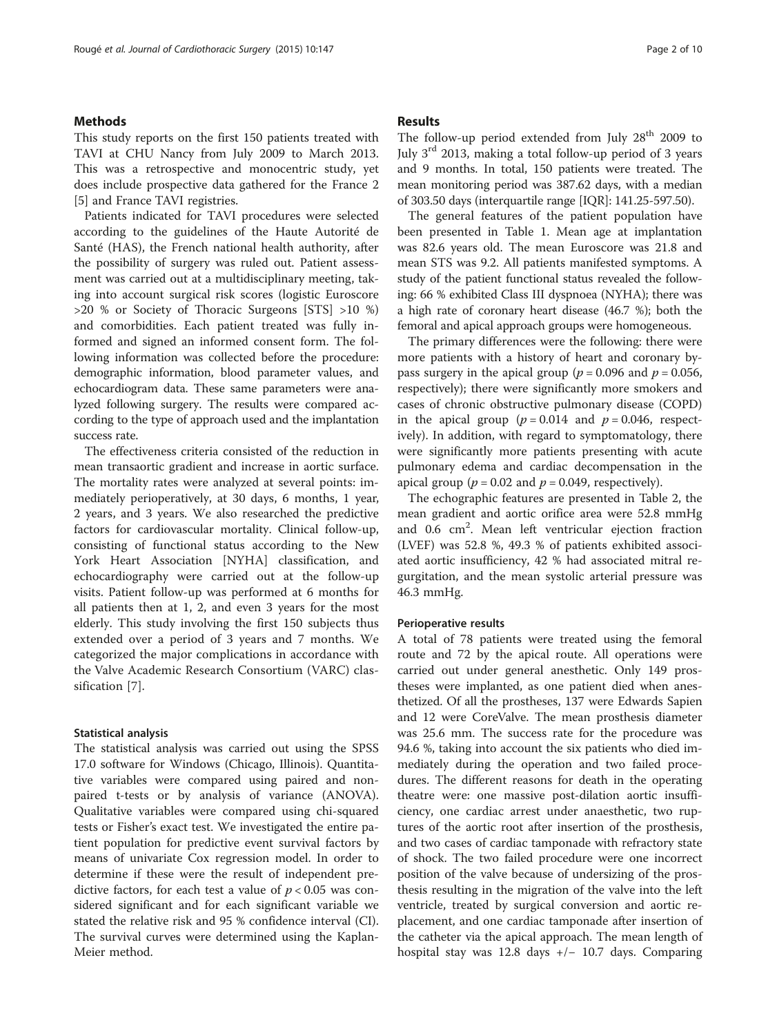## **Methods**

This study reports on the first 150 patients treated with TAVI at CHU Nancy from July 2009 to March 2013. This was a retrospective and monocentric study, yet does include prospective data gathered for the France 2 [[5\]](#page-8-0) and France TAVI registries.

Patients indicated for TAVI procedures were selected according to the guidelines of the Haute Autorité de Santé (HAS), the French national health authority, after the possibility of surgery was ruled out. Patient assessment was carried out at a multidisciplinary meeting, taking into account surgical risk scores (logistic Euroscore >20 % or Society of Thoracic Surgeons [STS] >10 %) and comorbidities. Each patient treated was fully informed and signed an informed consent form. The following information was collected before the procedure: demographic information, blood parameter values, and echocardiogram data. These same parameters were analyzed following surgery. The results were compared according to the type of approach used and the implantation success rate.

The effectiveness criteria consisted of the reduction in mean transaortic gradient and increase in aortic surface. The mortality rates were analyzed at several points: immediately perioperatively, at 30 days, 6 months, 1 year, 2 years, and 3 years. We also researched the predictive factors for cardiovascular mortality. Clinical follow-up, consisting of functional status according to the New York Heart Association [NYHA] classification, and echocardiography were carried out at the follow-up visits. Patient follow-up was performed at 6 months for all patients then at 1, 2, and even 3 years for the most elderly. This study involving the first 150 subjects thus extended over a period of 3 years and 7 months. We categorized the major complications in accordance with the Valve Academic Research Consortium (VARC) classification [[7\]](#page-8-0).

### Statistical analysis

The statistical analysis was carried out using the SPSS 17.0 software for Windows (Chicago, Illinois). Quantitative variables were compared using paired and nonpaired t-tests or by analysis of variance (ANOVA). Qualitative variables were compared using chi-squared tests or Fisher's exact test. We investigated the entire patient population for predictive event survival factors by means of univariate Cox regression model. In order to determine if these were the result of independent predictive factors, for each test a value of  $p < 0.05$  was considered significant and for each significant variable we stated the relative risk and 95 % confidence interval (CI). The survival curves were determined using the Kaplan-Meier method.

#### Results

The follow-up period extended from July 28<sup>th</sup> 2009 to July  $3<sup>rd</sup>$  2013, making a total follow-up period of 3 years and 9 months. In total, 150 patients were treated. The mean monitoring period was 387.62 days, with a median of 303.50 days (interquartile range [IQR]: 141.25-597.50).

The general features of the patient population have been presented in Table [1](#page-2-0). Mean age at implantation was 82.6 years old. The mean Euroscore was 21.8 and mean STS was 9.2. All patients manifested symptoms. A study of the patient functional status revealed the following: 66 % exhibited Class III dyspnoea (NYHA); there was a high rate of coronary heart disease (46.7 %); both the femoral and apical approach groups were homogeneous.

The primary differences were the following: there were more patients with a history of heart and coronary bypass surgery in the apical group ( $p = 0.096$  and  $p = 0.056$ , respectively); there were significantly more smokers and cases of chronic obstructive pulmonary disease (COPD) in the apical group ( $p = 0.014$  and  $p = 0.046$ , respectively). In addition, with regard to symptomatology, there were significantly more patients presenting with acute pulmonary edema and cardiac decompensation in the apical group ( $p = 0.02$  and  $p = 0.049$ , respectively).

The echographic features are presented in Table [2](#page-3-0), the mean gradient and aortic orifice area were 52.8 mmHg and 0.6 cm<sup>2</sup>. Mean left ventricular ejection fraction (LVEF) was 52.8 %, 49.3 % of patients exhibited associated aortic insufficiency, 42 % had associated mitral regurgitation, and the mean systolic arterial pressure was 46.3 mmHg.

#### Perioperative results

A total of 78 patients were treated using the femoral route and 72 by the apical route. All operations were carried out under general anesthetic. Only 149 prostheses were implanted, as one patient died when anesthetized. Of all the prostheses, 137 were Edwards Sapien and 12 were CoreValve. The mean prosthesis diameter was 25.6 mm. The success rate for the procedure was 94.6 %, taking into account the six patients who died immediately during the operation and two failed procedures. The different reasons for death in the operating theatre were: one massive post-dilation aortic insufficiency, one cardiac arrest under anaesthetic, two ruptures of the aortic root after insertion of the prosthesis, and two cases of cardiac tamponade with refractory state of shock. The two failed procedure were one incorrect position of the valve because of undersizing of the prosthesis resulting in the migration of the valve into the left ventricle, treated by surgical conversion and aortic replacement, and one cardiac tamponade after insertion of the catheter via the apical approach. The mean length of hospital stay was 12.8 days +/− 10.7 days. Comparing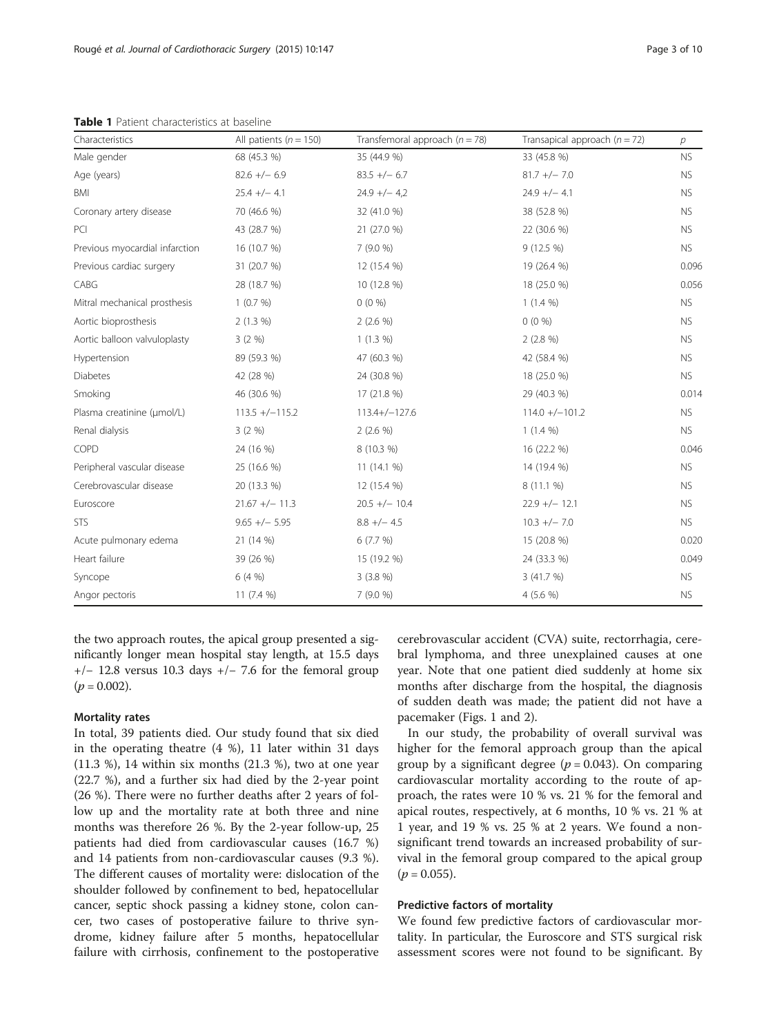<span id="page-2-0"></span>Table 1 Patient characteristics at baseline

| Characteristics                | All patients ( $n = 150$ ) | Transfemoral approach ( $n = 78$ ) | Transapical approach $(n = 72)$ | $\overline{p}$ |
|--------------------------------|----------------------------|------------------------------------|---------------------------------|----------------|
| Male gender                    | 68 (45.3 %)                | 35 (44.9 %)                        | 33 (45.8 %)                     | <b>NS</b>      |
| Age (years)                    | $82.6 +/- 6.9$             | $83.5 +/- 6.7$                     | $81.7 +/- 7.0$                  | <b>NS</b>      |
| BMI                            | $25.4 +/- 4.1$             | $24.9 +/- 4.2$                     | $24.9 +/- 4.1$                  | <b>NS</b>      |
| Coronary artery disease        | 70 (46.6 %)                | 32 (41.0 %)                        | 38 (52.8 %)                     | <b>NS</b>      |
| PCI                            | 43 (28.7 %)                | 21 (27.0 %)                        | 22 (30.6 %)                     | <b>NS</b>      |
| Previous myocardial infarction | 16 (10.7 %)                | 7(9.0%                             | $9(12.5\%)$                     | <b>NS</b>      |
| Previous cardiac surgery       | 31 (20.7 %)                | 12 (15.4 %)                        | 19 (26.4 %)                     | 0.096          |
| CABG                           | 28 (18.7 %)                | 10 (12.8 %)                        | 18 (25.0 %)                     | 0.056          |
| Mitral mechanical prosthesis   | 1(0.7%)                    | $0(0\%)$                           | $1(1.4\%)$                      | <b>NS</b>      |
| Aortic bioprosthesis           | $2(1.3\%)$                 | $2(2.6\%)$                         | $0(0\%)$                        | <b>NS</b>      |
| Aortic balloon valvuloplasty   | 3(2%)                      | $1(1.3\%)$                         | $2(2.8\%)$                      | <b>NS</b>      |
| Hypertension                   | 89 (59.3 %)                | 47 (60.3 %)                        | 42 (58.4 %)                     | <b>NS</b>      |
| <b>Diabetes</b>                | 42 (28 %)                  | 24 (30.8 %)                        | 18 (25.0 %)                     | <b>NS</b>      |
| Smoking                        | 46 (30.6 %)                | 17 (21.8 %)                        | 29 (40.3 %)                     | 0.014          |
| Plasma creatinine (µmol/L)     | $113.5 + (-115.2)$         | $113.4+/-127.6$                    | $114.0 + (-101.2$               | <b>NS</b>      |
| Renal dialysis                 | 3(2%)                      | $2(2.6\%)$                         | $1(1.4\%)$                      | <b>NS</b>      |
| COPD                           | 24 (16 %)                  | 8 (10.3 %)                         | 16 (22.2 %)                     | 0.046          |
| Peripheral vascular disease    | 25 (16.6 %)                | 11(14.1%                           | 14 (19.4 %)                     | <b>NS</b>      |
| Cerebrovascular disease        | 20 (13.3 %)                | 12 (15.4 %)                        | $8(11.1\%)$                     | <b>NS</b>      |
| Euroscore                      | $21.67 +/- 11.3$           | $20.5 +/- 10.4$                    | $22.9 +/- 12.1$                 | <b>NS</b>      |
| <b>STS</b>                     | $9.65 +/- 5.95$            | $8.8 +/- 4.5$                      | $10.3 +/- 7.0$                  | <b>NS</b>      |
| Acute pulmonary edema          | 21 (14 %)                  | 6(7.7%)                            | 15 (20.8 %)                     | 0.020          |
| Heart failure                  | 39 (26 %)                  | 15 (19.2 %)                        | 24 (33.3 %)                     | 0.049          |
| Syncope                        | 6(4%)                      | 3(3.8%)                            | 3 (41.7 %)                      | <b>NS</b>      |
| Angor pectoris                 | 11 $(7.4\%)$               | 7(9.0%                             | 4 (5.6 %)                       | <b>NS</b>      |

the two approach routes, the apical group presented a significantly longer mean hospital stay length, at 15.5 days  $+/-$  12.8 versus 10.3 days  $+/-$  7.6 for the femoral group  $(p = 0.002)$ .

## Mortality rates

In total, 39 patients died. Our study found that six died in the operating theatre (4 %), 11 later within 31 days (11.3 %), 14 within six months (21.3 %), two at one year (22.7 %), and a further six had died by the 2-year point (26 %). There were no further deaths after 2 years of follow up and the mortality rate at both three and nine months was therefore 26 %. By the 2-year follow-up, 25 patients had died from cardiovascular causes (16.7 %) and 14 patients from non-cardiovascular causes (9.3 %). The different causes of mortality were: dislocation of the shoulder followed by confinement to bed, hepatocellular cancer, septic shock passing a kidney stone, colon cancer, two cases of postoperative failure to thrive syndrome, kidney failure after 5 months, hepatocellular failure with cirrhosis, confinement to the postoperative cerebrovascular accident (CVA) suite, rectorrhagia, cerebral lymphoma, and three unexplained causes at one year. Note that one patient died suddenly at home six months after discharge from the hospital, the diagnosis of sudden death was made; the patient did not have a pacemaker (Figs. [1](#page-3-0) and [2\)](#page-4-0).

In our study, the probability of overall survival was higher for the femoral approach group than the apical group by a significant degree ( $p = 0.043$ ). On comparing cardiovascular mortality according to the route of approach, the rates were 10 % vs. 21 % for the femoral and apical routes, respectively, at 6 months, 10 % vs. 21 % at 1 year, and 19 % vs. 25 % at 2 years. We found a nonsignificant trend towards an increased probability of survival in the femoral group compared to the apical group  $(p = 0.055)$ .

## Predictive factors of mortality

We found few predictive factors of cardiovascular mortality. In particular, the Euroscore and STS surgical risk assessment scores were not found to be significant. By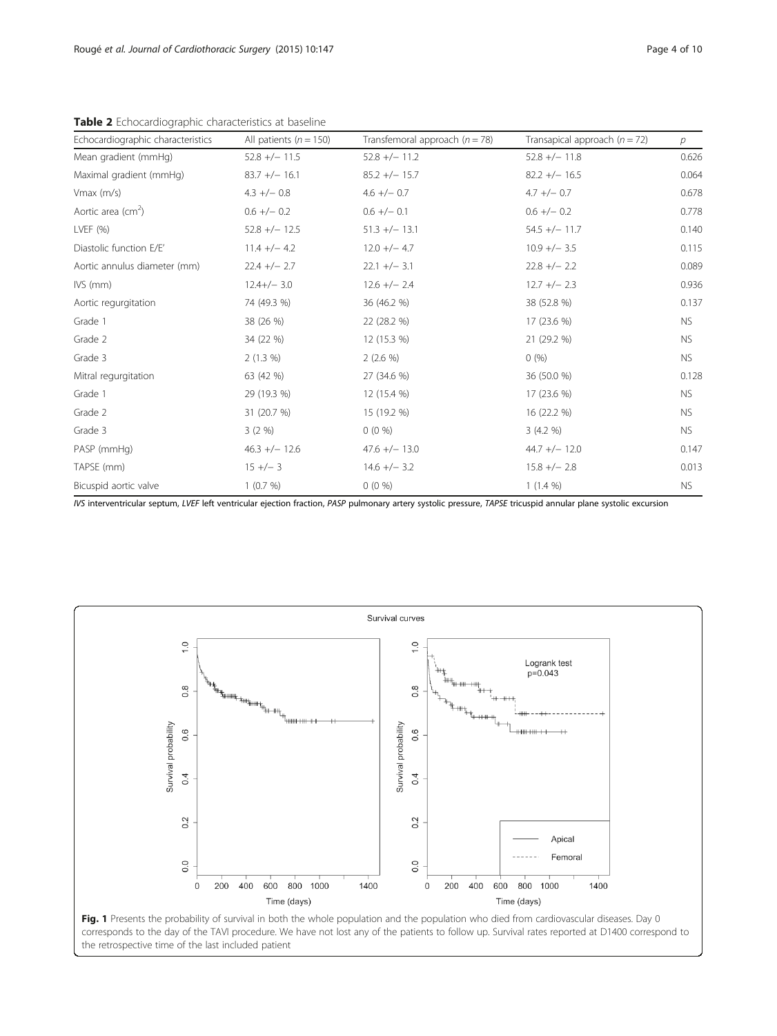| Echocardiographic characteristics | All patients ( $n = 150$ ) | Transfemoral approach $(n = 78)$ | Transapical approach $(n = 72)$ | $\mathcal{P}$ |  |
|-----------------------------------|----------------------------|----------------------------------|---------------------------------|---------------|--|
| Mean gradient (mmHg)              | $52.8 +/- 11.5$            | $52.8 +/- 11.2$                  | $52.8 +/- 11.8$                 | 0.626         |  |
| Maximal gradient (mmHg)           | $83.7 +/- 16.1$            | $85.2 +/- 15.7$                  | $82.2 +/- 16.5$                 | 0.064         |  |
| Vmax (m/s)                        | $4.3 +/- 0.8$              | $4.6 +/- 0.7$                    | $4.7 +/- 0.7$                   | 0.678         |  |
| Aortic area ( $cm2$ )             | $0.6 +/- 0.2$              | $0.6 +/- 0.1$                    | $0.6 +/- 0.2$                   | 0.778         |  |
| LVEF $(% )$                       | $52.8 +/- 12.5$            | $51.3 +/- 13.1$                  | $54.5 +/- 11.7$                 | 0.140         |  |
| Diastolic function E/E'           | $11.4 +/- 4.2$             | $12.0 +/- 4.7$                   | $10.9 +/- 3.5$                  | 0.115         |  |
| Aortic annulus diameter (mm)      | $22.4 +/- 2.7$             | $22.1 +/- 3.1$                   | $22.8 +/- 2.2$                  | 0.089         |  |
| $IVS$ (mm)                        | $12.4+/- 3.0$              | $12.6 +/- 2.4$                   | $12.7 +/- 2.3$                  | 0.936         |  |
| Aortic regurgitation              | 74 (49.3 %)                | 36 (46.2 %)                      | 38 (52.8 %)                     | 0.137         |  |
| Grade 1                           | 38 (26 %)                  | 22 (28.2 %)                      | 17 (23.6 %)                     | <b>NS</b>     |  |
| Grade 2                           | 34 (22 %)                  | 12 (15.3 %)                      | 21 (29.2 %)                     | <b>NS</b>     |  |
| Grade 3                           | 2(1.3%)                    | $2(2.6\%)$                       | 0(%)                            | <b>NS</b>     |  |
| Mitral regurgitation              | 63 (42 %)                  | 27 (34.6 %)                      | 36 (50.0 %)                     | 0.128         |  |
| Grade 1                           | 29 (19.3 %)                | 12 (15.4 %)                      | 17 (23.6 %)                     | <b>NS</b>     |  |
| Grade 2                           | 31 (20.7 %)                | 15 (19.2 %)                      | 16 (22.2 %)                     | <b>NS</b>     |  |
| Grade 3                           | 3(2%)                      | $0(0\%)$                         | 3(4.2%)                         | <b>NS</b>     |  |
| PASP (mmHg)                       | $46.3 +/- 12.6$            | $47.6 +/- 13.0$                  | $44.7 +/- 12.0$                 | 0.147         |  |
| TAPSE (mm)                        | $15 +/- 3$                 | $14.6 +/- 3.2$                   | $15.8 + - 2.8$                  | 0.013         |  |
| Bicuspid aortic valve             | 1(0.7%)                    | $0(0\%)$                         | $1(1.4\%)$                      | NS.           |  |

<span id="page-3-0"></span>Table 2 Echocardiographic characteristics at baseline

IVS interventricular septum, LVEF left ventricular ejection fraction, PASP pulmonary artery systolic pressure, TAPSE tricuspid annular plane systolic excursion

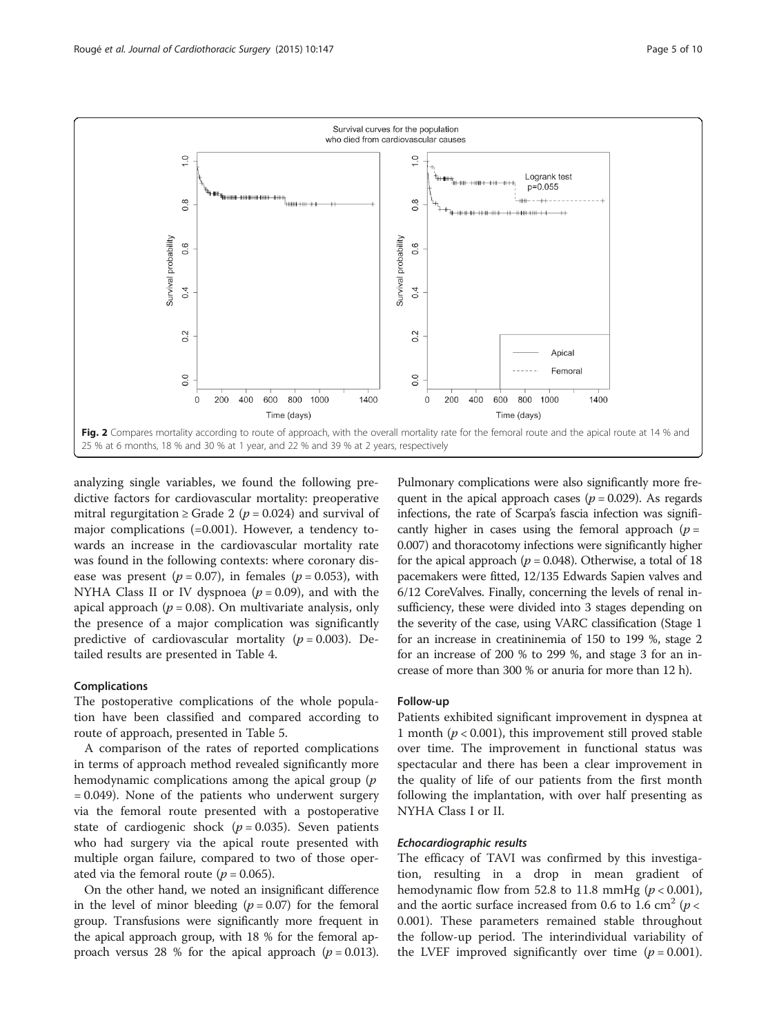<span id="page-4-0"></span>

analyzing single variables, we found the following predictive factors for cardiovascular mortality: preoperative mitral regurgitation  $\geq$  Grade 2 ( $p = 0.024$ ) and survival of major complications (=0.001). However, a tendency towards an increase in the cardiovascular mortality rate was found in the following contexts: where coronary disease was present ( $p = 0.07$ ), in females ( $p = 0.053$ ), with NYHA Class II or IV dyspnoea ( $p = 0.09$ ), and with the apical approach ( $p = 0.08$ ). On multivariate analysis, only the presence of a major complication was significantly predictive of cardiovascular mortality ( $p = 0.003$ ). Detailed results are presented in Table [4.](#page-5-0)

#### Complications

The postoperative complications of the whole population have been classified and compared according to route of approach, presented in Table [5](#page-6-0).

A comparison of the rates of reported complications in terms of approach method revealed significantly more hemodynamic complications among the apical group (p = 0.049). None of the patients who underwent surgery via the femoral route presented with a postoperative state of cardiogenic shock ( $p = 0.035$ ). Seven patients who had surgery via the apical route presented with multiple organ failure, compared to two of those operated via the femoral route ( $p = 0.065$ ).

On the other hand, we noted an insignificant difference in the level of minor bleeding  $(p = 0.07)$  for the femoral group. Transfusions were significantly more frequent in the apical approach group, with 18 % for the femoral approach versus 28 % for the apical approach  $(p = 0.013)$ .

Pulmonary complications were also significantly more frequent in the apical approach cases ( $p = 0.029$ ). As regards infections, the rate of Scarpa's fascia infection was significantly higher in cases using the femoral approach  $(p =$ 0.007) and thoracotomy infections were significantly higher for the apical approach ( $p = 0.048$ ). Otherwise, a total of 18 pacemakers were fitted, 12/135 Edwards Sapien valves and 6/12 CoreValves. Finally, concerning the levels of renal insufficiency, these were divided into 3 stages depending on the severity of the case, using VARC classification (Stage 1 for an increase in creatininemia of 150 to 199 %, stage 2 for an increase of 200 % to 299 %, and stage 3 for an increase of more than 300 % or anuria for more than 12 h).

#### Follow-up

Patients exhibited significant improvement in dyspnea at 1 month ( $p < 0.001$ ), this improvement still proved stable over time. The improvement in functional status was spectacular and there has been a clear improvement in the quality of life of our patients from the first month following the implantation, with over half presenting as NYHA Class I or II.

## Echocardiographic results

The efficacy of TAVI was confirmed by this investigation, resulting in a drop in mean gradient of hemodynamic flow from 52.8 to 11.8 mmHg ( $p < 0.001$ ), and the aortic surface increased from 0.6 to 1.6 cm<sup>2</sup> ( $p$  < 0.001). These parameters remained stable throughout the follow-up period. The interindividual variability of the LVEF improved significantly over time  $(p = 0.001)$ .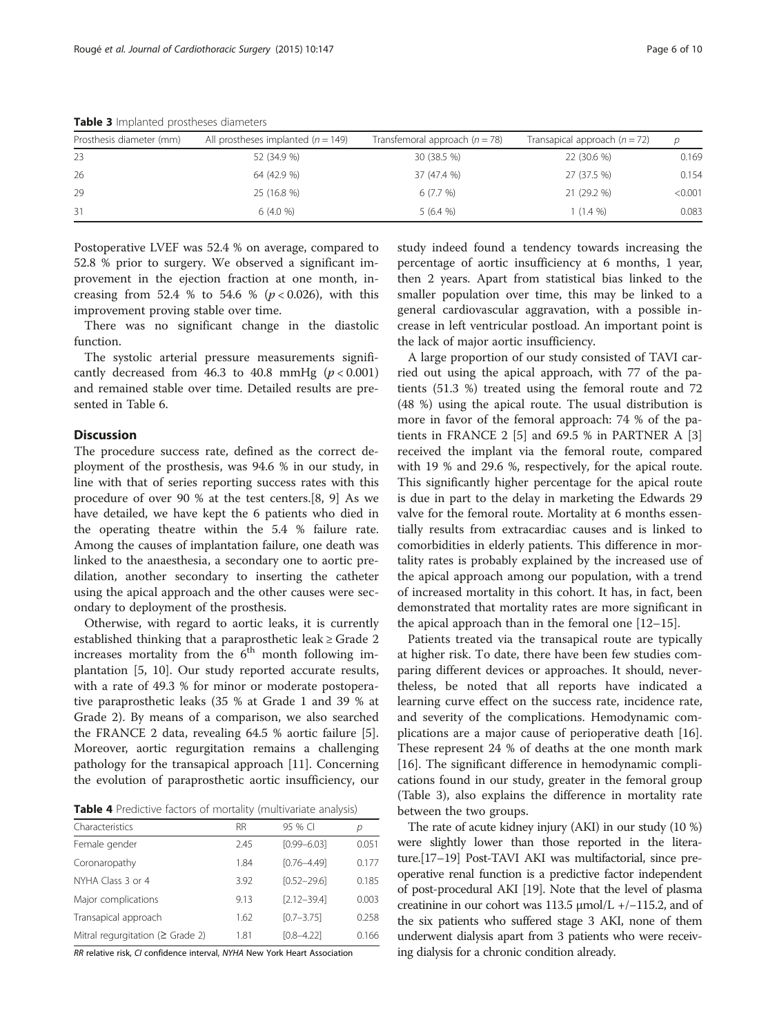| Prosthesis diameter (mm) | All prostheses implanted ( $n = 149$ ) | Transfemoral approach $(n = 78)$ | Transapical approach $(n = 72)$ | D       |
|--------------------------|----------------------------------------|----------------------------------|---------------------------------|---------|
| -23                      | 52 (34.9 %)                            | 30 (38.5 %)                      | 22 (30.6 %)                     | 0.169   |
| 26                       | 64 (42.9 %)                            | 37 (47.4 %)                      | 27 (37.5 %)                     | 0.154   |
| 29                       | 25 (16.8 %)                            | 6(7.7%)                          | 21 (29.2 %)                     | < 0.001 |
| 31                       | 6(4.0%                                 | 5(6.4%                           | $1(1.4\%)$                      | 0.083   |

<span id="page-5-0"></span>Table 3 Implanted prostheses diameters

Postoperative LVEF was 52.4 % on average, compared to 52.8 % prior to surgery. We observed a significant improvement in the ejection fraction at one month, increasing from 52.4 % to 54.6 % ( $p < 0.026$ ), with this improvement proving stable over time.

There was no significant change in the diastolic function.

The systolic arterial pressure measurements significantly decreased from 46.3 to 40.8 mmHg  $(p < 0.001)$ and remained stable over time. Detailed results are presented in Table [6.](#page-7-0)

## **Discussion**

The procedure success rate, defined as the correct deployment of the prosthesis, was 94.6 % in our study, in line with that of series reporting success rates with this procedure of over 90 % at the test centers.[[8](#page-8-0), [9](#page-8-0)] As we have detailed, we have kept the 6 patients who died in the operating theatre within the 5.4 % failure rate. Among the causes of implantation failure, one death was linked to the anaesthesia, a secondary one to aortic predilation, another secondary to inserting the catheter using the apical approach and the other causes were secondary to deployment of the prosthesis.

Otherwise, with regard to aortic leaks, it is currently established thinking that a paraprosthetic leak ≥ Grade 2 increases mortality from the  $6<sup>th</sup>$  month following implantation [[5, 10\]](#page-8-0). Our study reported accurate results, with a rate of 49.3 % for minor or moderate postoperative paraprosthetic leaks (35 % at Grade 1 and 39 % at Grade 2). By means of a comparison, we also searched the FRANCE 2 data, revealing 64.5 % aortic failure [\[5](#page-8-0)]. Moreover, aortic regurgitation remains a challenging pathology for the transapical approach [\[11\]](#page-8-0). Concerning the evolution of paraprosthetic aortic insufficiency, our

Table 4 Predictive factors of mortality (multivariate analysis)

| Characteristics                        | <b>RR</b> | 95 % CI         | р     |
|----------------------------------------|-----------|-----------------|-------|
| Female gender                          | 2.45      | $[0.99 - 6.03]$ | 0.051 |
| Coronaropathy                          | 1.84      | $[0.76 - 4.49]$ | 0.177 |
| NYHA Class 3 or 4                      | 3.92      | $[0.52 - 29.6]$ | 0.185 |
| Major complications                    | 9.13      | $[2.12 - 39.4]$ | 0.003 |
| Transapical approach                   | 1.62      | $[0.7 - 3.75]$  | 0.258 |
| Mitral requrgitation ( $\geq$ Grade 2) | 1.81      | $[0.8 - 4.22]$  | 0.166 |

RR relative risk, CI confidence interval, NYHA New York Heart Association

study indeed found a tendency towards increasing the percentage of aortic insufficiency at 6 months, 1 year, then 2 years. Apart from statistical bias linked to the smaller population over time, this may be linked to a general cardiovascular aggravation, with a possible increase in left ventricular postload. An important point is the lack of major aortic insufficiency.

A large proportion of our study consisted of TAVI carried out using the apical approach, with 77 of the patients (51.3 %) treated using the femoral route and 72 (48 %) using the apical route. The usual distribution is more in favor of the femoral approach: 74 % of the patients in FRANCE 2 [\[5](#page-8-0)] and 69.5 % in PARTNER A [\[3](#page-8-0)] received the implant via the femoral route, compared with 19 % and 29.6 %, respectively, for the apical route. This significantly higher percentage for the apical route is due in part to the delay in marketing the Edwards 29 valve for the femoral route. Mortality at 6 months essentially results from extracardiac causes and is linked to comorbidities in elderly patients. This difference in mortality rates is probably explained by the increased use of the apical approach among our population, with a trend of increased mortality in this cohort. It has, in fact, been demonstrated that mortality rates are more significant in the apical approach than in the femoral one [[12](#page-8-0)–[15](#page-8-0)].

Patients treated via the transapical route are typically at higher risk. To date, there have been few studies comparing different devices or approaches. It should, nevertheless, be noted that all reports have indicated a learning curve effect on the success rate, incidence rate, and severity of the complications. Hemodynamic complications are a major cause of perioperative death [\[16](#page-9-0)]. These represent 24 % of deaths at the one month mark [[16\]](#page-9-0). The significant difference in hemodynamic complications found in our study, greater in the femoral group (Table 3), also explains the difference in mortality rate between the two groups.

The rate of acute kidney injury (AKI) in our study (10 %) were slightly lower than those reported in the literature.[\[17](#page-9-0)–[19](#page-9-0)] Post-TAVI AKI was multifactorial, since preoperative renal function is a predictive factor independent of post-procedural AKI [[19](#page-9-0)]. Note that the level of plasma creatinine in our cohort was 113.5 μmol/L +/−115.2, and of the six patients who suffered stage 3 AKI, none of them underwent dialysis apart from 3 patients who were receiving dialysis for a chronic condition already.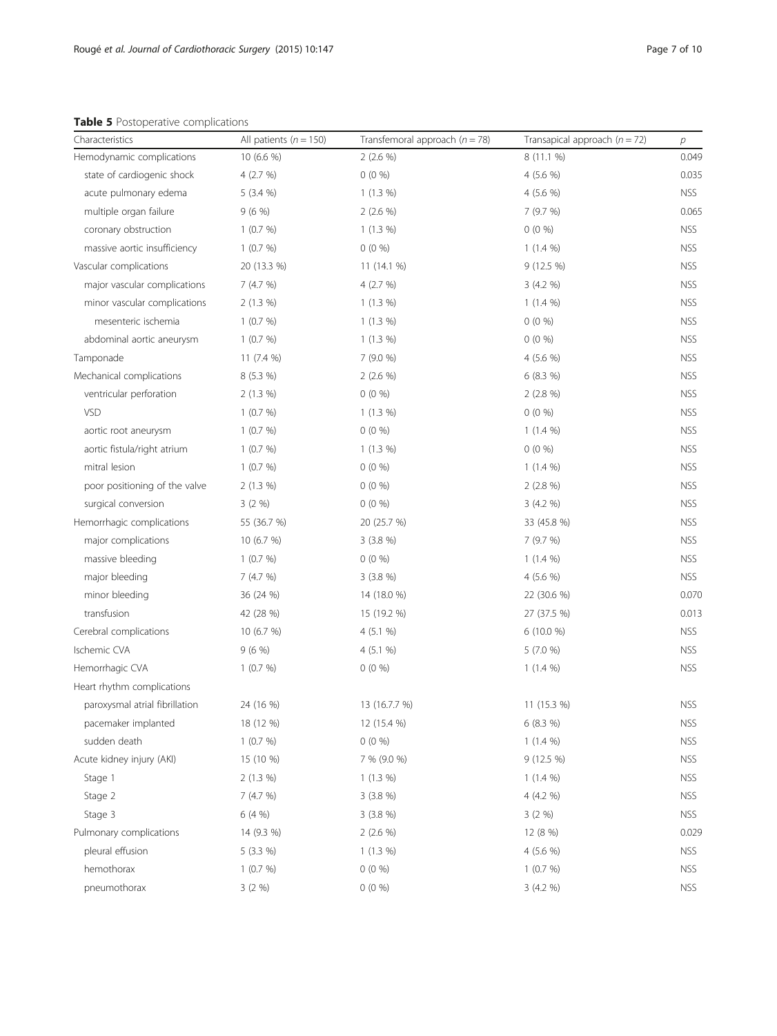## <span id="page-6-0"></span>Table 5 Postoperative complications

| Characteristics                | All patients ( $n = 150$ ) | Transfemoral approach ( $n = 78$ ) | Transapical approach $(n = 72)$ | $\overline{p}$ |
|--------------------------------|----------------------------|------------------------------------|---------------------------------|----------------|
| Hemodynamic complications      | 10 (6.6 %)                 | 2(2.6%                             | 8 (11.1 %)                      | 0.049          |
| state of cardiogenic shock     | 4(2.7%)                    | $0(0\%)$                           | 4(5.6%                          | 0.035          |
| acute pulmonary edema          | $5(3.4\%)$                 | $1(1.3\%)$                         | 4 $(5.6 %)$                     | <b>NSS</b>     |
| multiple organ failure         | 9(6%)                      | $2(2.6\%)$                         | 7 (9.7 %)                       | 0.065          |
| coronary obstruction           | 1(0.7%)                    | $1(1.3\%)$                         | $0(0\%)$                        | <b>NSS</b>     |
| massive aortic insufficiency   | 1(0.7%)                    | $0(0\%)$                           | $1(1.4\%)$                      | <b>NSS</b>     |
| Vascular complications         | 20 (13.3 %)                | 11(14.1%                           | 9 (12.5 %)                      | <b>NSS</b>     |
| major vascular complications   | 7(4.7%)                    | 4(2.7%)                            | 3(4.2%                          | NSS            |
| minor vascular complications   | $2(1.3\%)$                 | $1(1.3\%)$                         | $1(1.4\%)$                      | <b>NSS</b>     |
| mesenteric ischemia            | 1(0.7%)                    | $1(1.3\%)$                         | $0(0\%)$                        | <b>NSS</b>     |
| abdominal aortic aneurysm      | 1(0.7%)                    | $1(1.3\%)$                         | $0(0\%)$                        | <b>NSS</b>     |
| Tamponade                      | 11 (7.4 %)                 | 7(9.0%                             | 4 (5.6 %)                       | <b>NSS</b>     |
| Mechanical complications       | 8(5.3%)                    | $2(2.6\%)$                         | 6(8.3%)                         | <b>NSS</b>     |
| ventricular perforation        | $2(1.3\%)$                 | $0(0\%)$                           | $2(2.8\%)$                      | NSS            |
| <b>VSD</b>                     | 1(0.7%)                    | $1(1.3\%)$                         | $0(0\%)$                        | <b>NSS</b>     |
| aortic root aneurysm           | 1(0.7%)                    | $0(0\%)$                           | $1(1.4\%)$                      | <b>NSS</b>     |
| aortic fistula/right atrium    | 1(0.7%)                    | $1(1.3\%)$                         | $0(0\%)$                        | <b>NSS</b>     |
| mitral lesion                  | 1(0.7%)                    | $0(0\%)$                           | $1(1.4\%)$                      | <b>NSS</b>     |
| poor positioning of the valve  | 2(1.3%)                    | $0(0\%)$                           | $2(2.8\%)$                      | <b>NSS</b>     |
| surgical conversion            | 3(2%)                      | $0(0\%)$                           | 3(4.2%                          | NSS            |
| Hemorrhagic complications      | 55 (36.7 %)                | 20 (25.7 %)                        | 33 (45.8 %)                     | <b>NSS</b>     |
| major complications            | 10(6.7%)                   | $3(3.8\%)$                         | 7 (9.7 %)                       | <b>NSS</b>     |
| massive bleeding               | 1(0.7%)                    | $0(0\%)$                           | $1(1.4\%)$                      | NSS            |
| major bleeding                 | 7(4.7%)                    | 3(3.8%)                            | 4(5.6%                          | <b>NSS</b>     |
| minor bleeding                 | 36 (24 %)                  | 14 (18.0 %)                        | 22 (30.6 %)                     | 0.070          |
| transfusion                    | 42 (28 %)                  | 15 (19.2 %)                        | 27 (37.5 %)                     | 0.013          |
| Cerebral complications         | 10(6.7%)                   | 4 (5.1 %)                          | 6 (10.0 %)                      | <b>NSS</b>     |
| Ischemic CVA                   | 9(6%)                      | 4(5.1%                             | 5(7.0%                          | <b>NSS</b>     |
| Hemorrhagic CVA                | 1(0.7%)                    | $0(0\%)$                           | $1(1.4\%)$                      | NSS            |
| Heart rhythm complications     |                            |                                    |                                 |                |
| paroxysmal atrial fibrillation | 24 (16 %)                  | 13 (16.7.7 %)                      | 11 (15.3 %)                     | <b>NSS</b>     |
| pacemaker implanted            | 18 (12 %)                  | 12 (15.4 %)                        | 6 (8.3 %)                       | <b>NSS</b>     |
| sudden death                   | 1(0.7%)                    | $0(0\%)$                           | $1(1.4\%)$                      | <b>NSS</b>     |
| Acute kidney injury (AKI)      | 15 (10 %)                  | 7 % (9.0 %)                        | 9 (12.5 %)                      | <b>NSS</b>     |
| Stage 1                        | $2(1.3\%)$                 | $1(1.3\%)$                         | $1(1.4\%)$                      | <b>NSS</b>     |
| Stage 2                        | 7(4.7%)                    | 3(3.8%)                            | 4 (4.2 %)                       | <b>NSS</b>     |
| Stage 3                        | 6(4%)                      | 3(3.8%)                            | 3(2%)                           | <b>NSS</b>     |
| Pulmonary complications        | 14 (9.3 %)                 | 2(2.6%                             | 12 (8 %)                        | 0.029          |
| pleural effusion               | 5 (3.3 %)                  | $1(1.3\%)$                         | 4 (5.6 %)                       | <b>NSS</b>     |
| hemothorax                     | 1(0.7%)                    | $0(0\%)$                           | 1(0.7%)                         | <b>NSS</b>     |
| pneumothorax                   | 3(2%)                      | $0(0\%)$                           | 3 (4.2 %)                       | <b>NSS</b>     |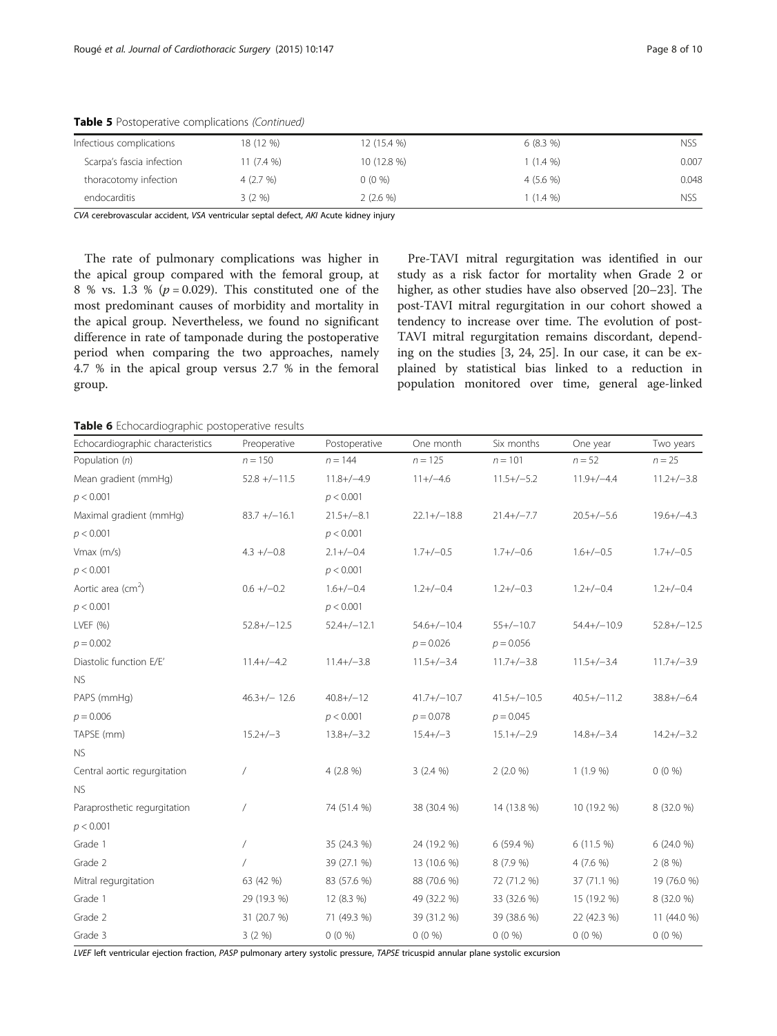| 18 (12 %)   | 12 (15.4 %) | 6(8.3%)    | nss        |
|-------------|-------------|------------|------------|
| 11 $(7.4\%$ | 10 (12.8 %) | $(1.4\%)$  | 0.007      |
| 4(2.7%)     | $0(0\%)$    | 4(5.6%     | 0.048      |
| $3(2\%)$    | $2(2.6\%)$  | $(1.4\% )$ | <b>NSS</b> |
|             |             |            |            |

<span id="page-7-0"></span>Table 5 Postoperative complications (Continued)

CVA cerebrovascular accident, VSA ventricular septal defect, AKI Acute kidney injury

The rate of pulmonary complications was higher in the apical group compared with the femoral group, at 8 % vs. 1.3 % ( $p = 0.029$ ). This constituted one of the most predominant causes of morbidity and mortality in the apical group. Nevertheless, we found no significant difference in rate of tamponade during the postoperative period when comparing the two approaches, namely 4.7 % in the apical group versus 2.7 % in the femoral group.

Pre-TAVI mitral regurgitation was identified in our study as a risk factor for mortality when Grade 2 or higher, as other studies have also observed [\[20](#page-9-0)–[23\]](#page-9-0). The post-TAVI mitral regurgitation in our cohort showed a tendency to increase over time. The evolution of post-TAVI mitral regurgitation remains discordant, depending on the studies [[3,](#page-8-0) [24, 25](#page-9-0)]. In our case, it can be explained by statistical bias linked to a reduction in population monitored over time, general age-linked

Table 6 Echocardiographic postoperative results

| Echocardiographic characteristics | Preoperative    | Postoperative   | One month     | Six months    | One year        | Two years        |
|-----------------------------------|-----------------|-----------------|---------------|---------------|-----------------|------------------|
| Population (n)                    | $n = 150$       | $n = 144$       | $n = 125$     | $n = 101$     | $n = 52$        | $n = 25$         |
| Mean gradient (mmHg)              | $52.8 + (-11.5$ | $11.8 + (-4.9)$ | $11+/-4.6$    | $11.5+/-5.2$  | $11.9+/-4.4$    | $11.2 + (-3.8)$  |
| p < 0.001                         |                 | p < 0.001       |               |               |                 |                  |
| Maximal gradient (mmHg)           | $83.7 + (-16.1$ | $21.5+/-8.1$    | $22.1+/-18.8$ | $21.4+/-7.7$  | $20.5 + (-5.6)$ | $19.6 + / -4.3$  |
| p < 0.001                         |                 | p < 0.001       |               |               |                 |                  |
| $V$ max $(m/s)$                   | $4.3 + (-0.8)$  | $2.1 + / -0.4$  | $1.7+/-0.5$   | $1.7+/-0.6$   | $1.6+/-0.5$     | $1.7+/-0.5$      |
| p < 0.001                         |                 | p < 0.001       |               |               |                 |                  |
| Aortic area ( $cm2$ )             | $0.6 +/-0.2$    | $1.6+/-0.4$     | $1.2+/-0.4$   | $1.2+/-0.3$   | $1.2+/-0.4$     | $1.2+/-0.4$      |
| p < 0.001                         |                 | p < 0.001       |               |               |                 |                  |
| LVEF (%)                          | $52.8+/-12.5$   | $52.4+/-12.1$   | $54.6+/-10.4$ | $55+/-10.7$   | $54.4+/-10.9$   | $52.8 + / -12.5$ |
| $p = 0.002$                       |                 |                 | $p = 0.026$   | $p = 0.056$   |                 |                  |
| Diastolic function E/E'           | $11.4+/-4.2$    | $11.4+/-3.8$    | $11.5+/-3.4$  | $11.7+/-3.8$  | $11.5+/-3.4$    | $11.7+/-3.9$     |
| <b>NS</b>                         |                 |                 |               |               |                 |                  |
| PAPS (mmHg)                       | $46.3+/- 12.6$  | $40.8 + / -12$  | $41.7+/-10.7$ | $41.5+/-10.5$ | $40.5+/-11.2$   | $38.8+/-6.4$     |
| $p = 0.006$                       |                 | p < 0.001       | $p = 0.078$   | $p = 0.045$   |                 |                  |
| TAPSE (mm)                        | $15.2 + / -3$   | $13.8 + / -3.2$ | $15.4 + / -3$ | $15.1+/-2.9$  | $14.8 + / -3.4$ | $14.2+/-3.2$     |
| <b>NS</b>                         |                 |                 |               |               |                 |                  |
| Central aortic regurgitation      | $\sqrt{2}$      | 4 (2.8 %)       | $3(2.4\%)$    | 2(2.0 %)      | $1(1.9\%)$      | $0(0\%)$         |
| <b>NS</b>                         |                 |                 |               |               |                 |                  |
| Paraprosthetic regurgitation      | $\overline{1}$  | 74 (51.4 %)     | 38 (30.4 %)   | 14 (13.8 %)   | 10 (19.2 %)     | 8 (32.0 %)       |
| p < 0.001                         |                 |                 |               |               |                 |                  |
| Grade 1                           | $\overline{1}$  | 35 (24.3 %)     | 24 (19.2 %)   | 6 (59.4 %)    | 6(11.5%)        | 6 (24.0 %)       |
| Grade 2                           |                 | 39 (27.1 %)     | 13 (10.6 %)   | 8(7.9%        | $4(7.6\%)$      | 2(8%)            |
| Mitral regurgitation              | 63 (42 %)       | 83 (57.6 %)     | 88 (70.6 %)   | 72 (71.2 %)   | 37 (71.1 %)     | 19 (76.0 %)      |
| Grade 1                           | 29 (19.3 %)     | 12 (8.3 %)      | 49 (32.2 %)   | 33 (32.6 %)   | 15 (19.2 %)     | 8 (32.0 %)       |
| Grade 2                           | 31 (20.7 %)     | 71 (49.3 %)     | 39 (31.2 %)   | 39 (38.6 %)   | 22 (42.3 %)     | 11 (44.0 %)      |
| Grade 3                           | 3(2%)           | $0(0\%)$        | $0(0\%)$      | $0(0\%)$      | $0(0\%)$        | $0(0\%)$         |

LVEF left ventricular ejection fraction, PASP pulmonary artery systolic pressure, TAPSE tricuspid annular plane systolic excursion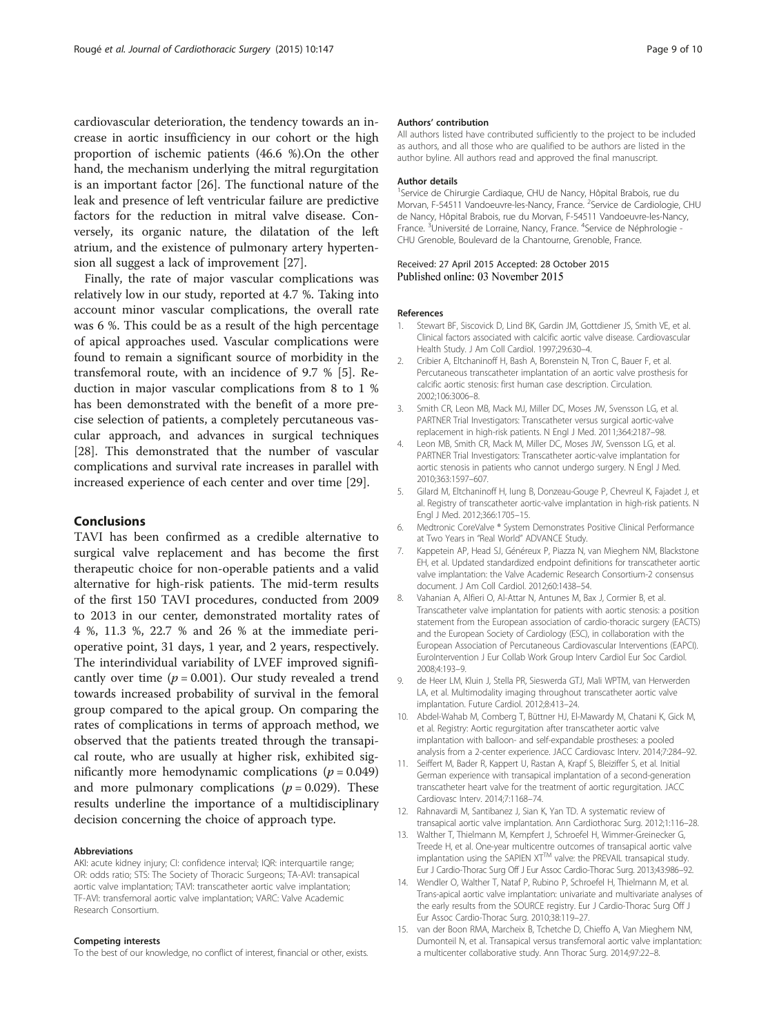<span id="page-8-0"></span>cardiovascular deterioration, the tendency towards an increase in aortic insufficiency in our cohort or the high proportion of ischemic patients (46.6 %).On the other hand, the mechanism underlying the mitral regurgitation is an important factor [[26\]](#page-9-0). The functional nature of the leak and presence of left ventricular failure are predictive factors for the reduction in mitral valve disease. Conversely, its organic nature, the dilatation of the left atrium, and the existence of pulmonary artery hypertension all suggest a lack of improvement [\[27\]](#page-9-0).

Finally, the rate of major vascular complications was relatively low in our study, reported at 4.7 %. Taking into account minor vascular complications, the overall rate was 6 %. This could be as a result of the high percentage of apical approaches used. Vascular complications were found to remain a significant source of morbidity in the transfemoral route, with an incidence of 9.7 % [5]. Reduction in major vascular complications from 8 to 1 % has been demonstrated with the benefit of a more precise selection of patients, a completely percutaneous vascular approach, and advances in surgical techniques [[28\]](#page-9-0). This demonstrated that the number of vascular complications and survival rate increases in parallel with increased experience of each center and over time [\[29](#page-9-0)].

## Conclusions

TAVI has been confirmed as a credible alternative to surgical valve replacement and has become the first therapeutic choice for non-operable patients and a valid alternative for high-risk patients. The mid-term results of the first 150 TAVI procedures, conducted from 2009 to 2013 in our center, demonstrated mortality rates of 4 %, 11.3 %, 22.7 % and 26 % at the immediate perioperative point, 31 days, 1 year, and 2 years, respectively. The interindividual variability of LVEF improved significantly over time ( $p = 0.001$ ). Our study revealed a trend towards increased probability of survival in the femoral group compared to the apical group. On comparing the rates of complications in terms of approach method, we observed that the patients treated through the transapical route, who are usually at higher risk, exhibited significantly more hemodynamic complications  $(p = 0.049)$ and more pulmonary complications ( $p = 0.029$ ). These results underline the importance of a multidisciplinary decision concerning the choice of approach type.

#### Abbreviations

AKI: acute kidney injury; CI: confidence interval; IQR: interquartile range; OR: odds ratio; STS: The Society of Thoracic Surgeons; TA-AVI: transapical aortic valve implantation; TAVI: transcatheter aortic valve implantation; TF-AVI: transfemoral aortic valve implantation; VARC: Valve Academic Research Consortium.

#### Competing interests

To the best of our knowledge, no conflict of interest, financial or other, exists.

#### Authors' contribution

All authors listed have contributed sufficiently to the project to be included as authors, and all those who are qualified to be authors are listed in the author byline. All authors read and approved the final manuscript.

#### Author details

1 Service de Chirurgie Cardiaque, CHU de Nancy, Hôpital Brabois, rue du Morvan, F-54511 Vandoeuvre-les-Nancy, France. <sup>2</sup>Service de Cardiologie, CHU de Nancy, Hôpital Brabois, rue du Morvan, F-54511 Vandoeuvre-les-Nancy, France.<sup>3</sup>Université de Lorraine, Nancy, France.<sup>4</sup>Service de Néphrologie -CHU Grenoble, Boulevard de la Chantourne, Grenoble, France.

#### Received: 27 April 2015 Accepted: 28 October 2015 Published online: 03 November 2015

#### References

- 1. Stewart BF, Siscovick D, Lind BK, Gardin JM, Gottdiener JS, Smith VE, et al. Clinical factors associated with calcific aortic valve disease. Cardiovascular Health Study. J Am Coll Cardiol. 1997;29:630–4.
- 2. Cribier A, Eltchaninoff H, Bash A, Borenstein N, Tron C, Bauer F, et al. Percutaneous transcatheter implantation of an aortic valve prosthesis for calcific aortic stenosis: first human case description. Circulation. 2002;106:3006–8.
- 3. Smith CR, Leon MB, Mack MJ, Miller DC, Moses JW, Svensson LG, et al. PARTNER Trial Investigators: Transcatheter versus surgical aortic-valve replacement in high-risk patients. N Engl J Med. 2011;364:2187–98.
- 4. Leon MB, Smith CR, Mack M, Miller DC, Moses JW, Svensson LG, et al. PARTNER Trial Investigators: Transcatheter aortic-valve implantation for aortic stenosis in patients who cannot undergo surgery. N Engl J Med. 2010;363:1597–607.
- 5. Gilard M, Eltchaninoff H, Iung B, Donzeau-Gouge P, Chevreul K, Fajadet J, et al. Registry of transcatheter aortic-valve implantation in high-risk patients. N Engl J Med. 2012;366:1705–15.
- 6. Medtronic CoreValve ® System Demonstrates Positive Clinical Performance at Two Years in "Real World" ADVANCE Study.
- 7. Kappetein AP, Head SJ, Généreux P, Piazza N, van Mieghem NM, Blackstone EH, et al. Updated standardized endpoint definitions for transcatheter aortic valve implantation: the Valve Academic Research Consortium-2 consensus document. J Am Coll Cardiol. 2012;60:1438–54.
- 8. Vahanian A, Alfieri O, Al-Attar N, Antunes M, Bax J, Cormier B, et al. Transcatheter valve implantation for patients with aortic stenosis: a position statement from the European association of cardio-thoracic surgery (EACTS) and the European Society of Cardiology (ESC), in collaboration with the European Association of Percutaneous Cardiovascular Interventions (EAPCI). EuroIntervention J Eur Collab Work Group Interv Cardiol Eur Soc Cardiol. 2008;4:193–9.
- 9. de Heer LM, Kluin J, Stella PR, Sieswerda GTJ, Mali WPTM, van Herwerden LA, et al. Multimodality imaging throughout transcatheter aortic valve implantation. Future Cardiol. 2012;8:413–24.
- 10. Abdel-Wahab M, Comberg T, Büttner HJ, El-Mawardy M, Chatani K, Gick M, et al. Registry: Aortic regurgitation after transcatheter aortic valve implantation with balloon- and self-expandable prostheses: a pooled analysis from a 2-center experience. JACC Cardiovasc Interv. 2014;7:284–92.
- 11. Seiffert M, Bader R, Kappert U, Rastan A, Krapf S, Bleiziffer S, et al. Initial German experience with transapical implantation of a second-generation transcatheter heart valve for the treatment of aortic regurgitation. JACC Cardiovasc Interv. 2014;7:1168–74.
- 12. Rahnavardi M, Santibanez J, Sian K, Yan TD. A systematic review of transapical aortic valve implantation. Ann Cardiothorac Surg. 2012;1:116–28.
- 13. Walther T, Thielmann M, Kempfert J, Schroefel H, Wimmer-Greinecker G, Treede H, et al. One-year multicentre outcomes of transapical aortic valve implantation using the SAPIEN XTTM valve: the PREVAIL transapical study. Eur J Cardio-Thorac Surg Off J Eur Assoc Cardio-Thorac Surg. 2013;43:986–92.
- 14. Wendler O, Walther T, Nataf P, Rubino P, Schroefel H, Thielmann M, et al. Trans-apical aortic valve implantation: univariate and multivariate analyses of the early results from the SOURCE registry. Eur J Cardio-Thorac Surg Off J Eur Assoc Cardio-Thorac Surg. 2010;38:119–27.
- 15. van der Boon RMA, Marcheix B, Tchetche D, Chieffo A, Van Mieghem NM, Dumonteil N, et al. Transapical versus transfemoral aortic valve implantation: a multicenter collaborative study. Ann Thorac Surg. 2014;97:22–8.